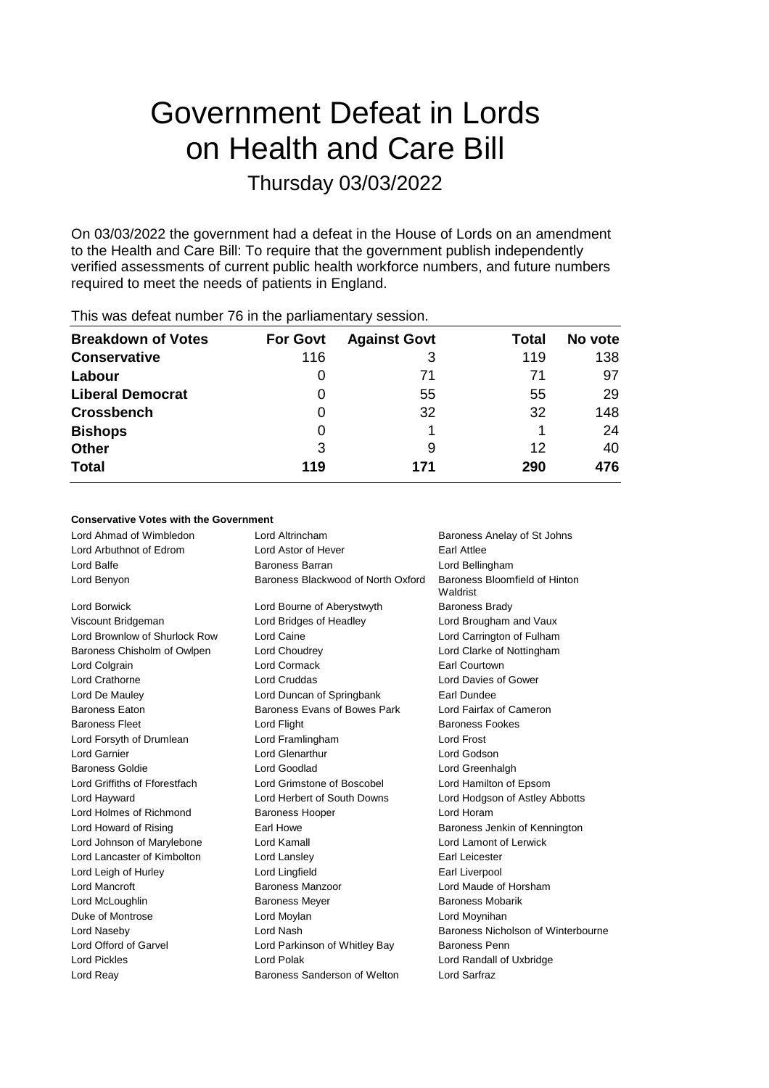# Government Defeat in Lords on Health and Care Bill

# Thursday 03/03/2022

On 03/03/2022 the government had a defeat in the House of Lords on an amendment to the Health and Care Bill: To require that the government publish independently verified assessments of current public health workforce numbers, and future numbers required to meet the needs of patients in England.

|                           |                 | -                   |       |         |
|---------------------------|-----------------|---------------------|-------|---------|
| <b>Breakdown of Votes</b> | <b>For Govt</b> | <b>Against Govt</b> | Total | No vote |
| <b>Conservative</b>       | 116             | 3                   | 119   | 138     |
| Labour                    |                 | 71                  | 71    | 97      |
| <b>Liberal Democrat</b>   | 0               | 55                  | 55    | 29      |
| <b>Crossbench</b>         | 0               | 32                  | 32    | 148     |
| <b>Bishops</b>            | O               |                     |       | 24      |
| <b>Other</b>              | 3               | 9                   | 12    | 40      |
| <b>Total</b>              | 119             | 171                 | 290   | 476     |
|                           |                 |                     |       |         |

This was defeat number 76 in the parliamentary session.

# **Conservative Votes with the Government**

| Lord Ahmad of Wimbledon       | Lord Altrincham                    | Baroness Anelay of St Johns               |  |
|-------------------------------|------------------------------------|-------------------------------------------|--|
| Lord Arbuthnot of Edrom       | Lord Astor of Hever                | <b>Farl Attlee</b>                        |  |
| Lord Balfe                    | Baroness Barran                    | Lord Bellingham                           |  |
| Lord Benyon                   | Baroness Blackwood of North Oxford | Baroness Bloomfield of Hinton<br>Waldrist |  |
| <b>Lord Borwick</b>           | Lord Bourne of Aberystwyth         | <b>Baroness Brady</b>                     |  |
| Viscount Bridgeman            | Lord Bridges of Headley            | Lord Brougham and Vaux                    |  |
| Lord Brownlow of Shurlock Row | Lord Caine                         | Lord Carrington of Fulham                 |  |
| Baroness Chisholm of Owlpen   | Lord Choudrey                      | Lord Clarke of Nottingham                 |  |
| Lord Colgrain                 | <b>Lord Cormack</b>                | Earl Courtown                             |  |
| Lord Crathorne                | Lord Cruddas                       | Lord Davies of Gower                      |  |
| Lord De Mauley                | Lord Duncan of Springbank          | Earl Dundee                               |  |
| <b>Baroness Eaton</b>         | Baroness Evans of Bowes Park       | Lord Fairfax of Cameron                   |  |
| <b>Baroness Fleet</b>         | Lord Flight                        | <b>Baroness Fookes</b>                    |  |
| Lord Forsyth of Drumlean      | Lord Framlingham                   | Lord Frost                                |  |
| Lord Garnier                  | Lord Glenarthur                    | Lord Godson                               |  |
| <b>Baroness Goldie</b>        | <b>Lord Goodlad</b>                | Lord Greenhalgh                           |  |
| Lord Griffiths of Fforestfach | Lord Grimstone of Boscobel         | Lord Hamilton of Epsom                    |  |
| Lord Hayward                  | Lord Herbert of South Downs        | Lord Hodgson of Astley Abbotts            |  |
| Lord Holmes of Richmond       | <b>Baroness Hooper</b>             | Lord Horam                                |  |
| Lord Howard of Rising         | Earl Howe                          | Baroness Jenkin of Kennington             |  |
| Lord Johnson of Marylebone    | Lord Kamall                        | Lord Lamont of Lerwick                    |  |
| Lord Lancaster of Kimbolton   | Lord Lansley                       | Earl Leicester                            |  |
| Lord Leigh of Hurley          | Lord Lingfield                     | Earl Liverpool                            |  |
| Lord Mancroft                 | Baroness Manzoor                   | Lord Maude of Horsham                     |  |
| Lord McLoughlin               | <b>Baroness Meyer</b>              | <b>Baroness Mobarik</b>                   |  |
| Duke of Montrose              | Lord Moylan                        | Lord Moynihan                             |  |
| Lord Naseby                   | Lord Nash                          | Baroness Nicholson of Winterbourne        |  |
| Lord Offord of Garvel         | Lord Parkinson of Whitley Bay      | <b>Baroness Penn</b>                      |  |
| Lord Pickles                  | Lord Polak                         | Lord Randall of Uxbridge                  |  |
| Lord Reay                     | Baroness Sanderson of Welton       | Lord Sarfraz                              |  |
|                               |                                    |                                           |  |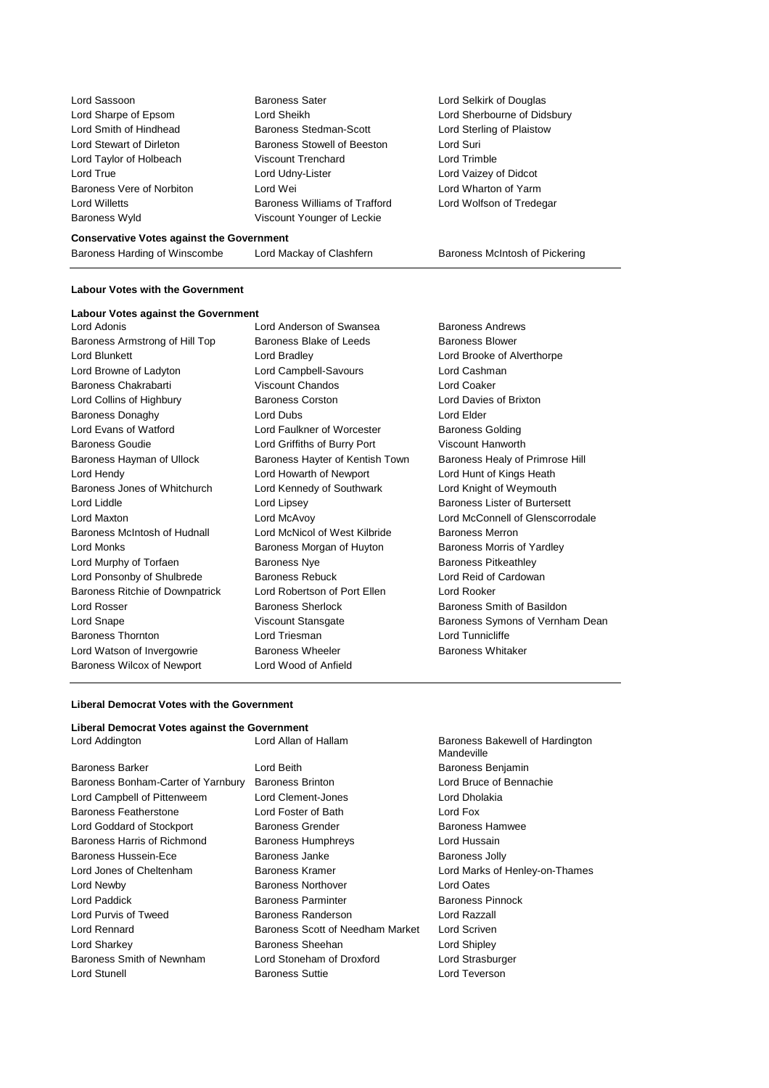| Lord Sassoon              |
|---------------------------|
| Lord Sharpe of Epsom      |
| Lord Smith of Hindhead    |
| I ord Stewart of Dirleton |
| Lord Taylor of Holbeach   |
| Lord True                 |
| Baroness Vere of Norbiton |
| I ord Willetts            |
| <b>Baroness Wyld</b>      |

Baroness Sater **Lord Selkirk of Douglas** Lord Sheikh **Lord Sheikh Lord Sherbourne of Didsbury** Baroness Stedman-Scott Lord Sterling of Plaistow Baroness Stowell of Beeston Lord Suri Viscount Trenchard Lord Trimble Lord Udny-Lister Lord Vaizey of Didcot Lord Wei Lord Wharton of Yarm Baroness Williams of Trafford Lord Wolfson of Tredegar Viscount Younger of Leckie

#### **Conservative Votes against the Government**

Baroness Harding of Winscombe Lord Mackay of Clashfern Baroness McIntosh of Pickering

#### **Labour Votes with the Government**

#### **Labour Votes against the Government**

Baroness Armstrong of Hill Top Baroness Blake of Leeds Baroness Blower Lord Blunkett Lord Bradley Lord Brooke of Alverthorpe Lord Browne of Ladyton Lord Campbell-Savours Lord Cashman Baroness Chakrabarti Viscount Chandos Lord Coaker Lord Collins of Highbury Baroness Corston Lord Davies of Brixton Baroness Donaghy **Lord Dubs** Lord Dubs **Lord Elder** Lord Evans of Watford Lord Faulkner of Worcester Baroness Golding Baroness Goudie Lord Griffiths of Burry Port Viscount Hanworth Baroness Hayman of Ullock Baroness Hayter of Kentish Town Baroness Healy of Primrose Hill Lord Hendy Lord Howarth of Newport Lord Hunt of Kings Heath Baroness Jones of Whitchurch Lord Kennedy of Southwark Lord Knight of Weymouth Lord Liddle **Lord Lipsey** Lord Lipsey **Baroness Lister of Burtersett** Lord Maxton Lord McAvoy Lord McConnell of Glenscorrodale Baroness McIntosh of Hudnall Lord McNicol of West Kilbride Baroness Merron Lord Monks **Baroness Morgan of Huyton** Baroness Morris of Yardley Lord Murphy of Torfaen **Baroness Nye** Baroness Nye Baroness Pitkeathley Lord Ponsonby of Shulbrede Baroness Rebuck Lord Reid of Cardowan Baroness Ritchie of Downpatrick Lord Robertson of Port Ellen Lord Rooker Lord Rosser **Baroness Sherlock** Baroness Sherlock Baroness Smith of Basildon Baroness Thornton Lord Triesman Lord Tunnicliffe Lord Watson of Invergowrie **Baroness Wheeler** Baroness Wheeler Baroness Whitaker Baroness Wilcox of Newport Lord Wood of Anfield

Lord Adonis Lord Anderson of Swansea Baroness Andrews

Lord Snape **Viscount Stansgate** Baroness Symons of Vernham Dean

Mandeville

#### **Liberal Democrat Votes with the Government**

#### **Liberal Democrat Votes against the Government** Lord Addington Lord Allan of Hallam Baroness Bakewell of Hardington

| Baroness Barker                    | Lord Beith                                | Baroness Benjamin              |
|------------------------------------|-------------------------------------------|--------------------------------|
| Baroness Bonham-Carter of Yarnbury | <b>Baroness Brinton</b>                   | Lord Bruce of Bennachie        |
| Lord Campbell of Pittenweem        | Lord Clement-Jones                        | Lord Dholakia                  |
| Baroness Featherstone              | Lord Foster of Bath                       | Lord Fox                       |
| Lord Goddard of Stockport          | Baroness Grender                          | <b>Baroness Hamwee</b>         |
| Baroness Harris of Richmond        | Lord Hussain<br><b>Baroness Humphreys</b> |                                |
| Baroness Hussein-Ece               | Baroness Janke                            | <b>Baroness Jolly</b>          |
| Lord Jones of Cheltenham           | Baroness Kramer                           | Lord Marks of Henley-on-Thames |
| Lord Newby                         | <b>Baroness Northover</b>                 | Lord Oates                     |
| Lord Paddick                       | <b>Baroness Parminter</b>                 | <b>Baroness Pinnock</b>        |
| Lord Purvis of Tweed               | Baroness Randerson                        | Lord Razzall                   |
| Lord Rennard                       | Baroness Scott of Needham Market          | Lord Scriven                   |
| Lord Sharkey                       | Baroness Sheehan                          | Lord Shipley                   |
| Baroness Smith of Newnham          | Lord Stoneham of Droxford                 | Lord Strasburger               |
| Lord Stunell                       | <b>Baroness Suttie</b>                    | Lord Teverson                  |
|                                    |                                           |                                |